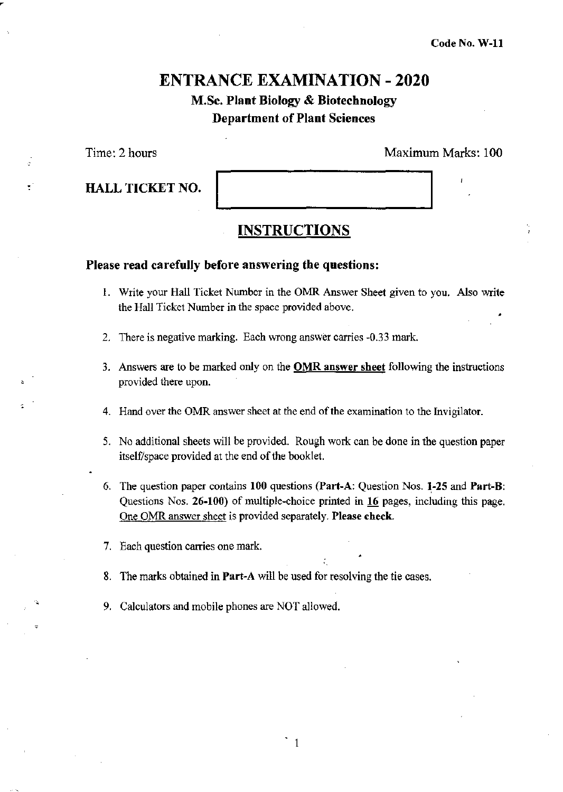# ENTRANCE EXAMINATION - 2020

## M.Sc. Plant Biology & Biotechnology Department of Plant Sciences

Time: 2 hours Maximum Marks: 100

| <b>HALL TICKET NO.</b> |  |
|------------------------|--|
|                        |  |

### INSTRUCTIONS

#### Please read carefully before answering the questions:

- 1. Write your Hall Ticket Number in the OMR Answer Sheet given to you. Also write the Hall Ticket Number in the space provided above. •
- 2. There is negative marking. Each wrong answer carries -0.33 mark.
- 3. Answers are to be marked only on the **OMR answer sheet** following the instructions provided there upon.
- 4. Hand over the OMR answer sheet at the end of the examination to the Invigilator.
- 5. No additional sheets will be provided. Rough work can be done in the question paper itself/space provided at the end of the booklet.
- 6. The question paper contains 100 questions (Part-A: Question Nos. 1-25 and Part-B: Questions Nos. 26-100) of multiple-choice printed in 16 pages. including this page. One OMR answer sheet is provided separately. **Please check.**

 $\zeta \sim \epsilon^{-2}$ 

- 7. Each question carries one mark.
- 8. The marks obtained in Part~A will be used for resolving the tie cases.
- 9. Calculators and mobile phones are NOT allowed.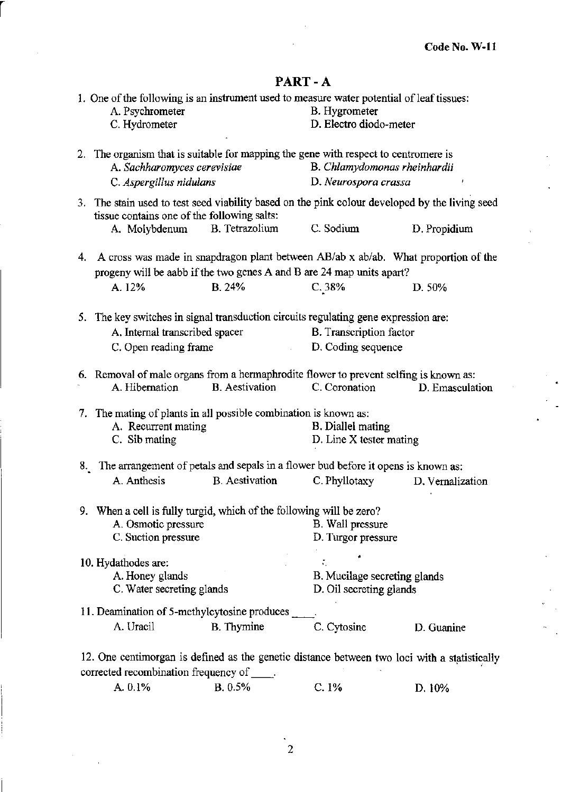## PART-A

r

| 1. One of the following is an instrument used to measure water potential of leaf tissues:<br>A. Psychrometer<br>C. Hydrometer                                  |                       | B. Hygrometer<br>D. Electro diodo-meter                 |                  |
|----------------------------------------------------------------------------------------------------------------------------------------------------------------|-----------------------|---------------------------------------------------------|------------------|
| 2. The organism that is suitable for mapping the gene with respect to centromere is<br>A. Sachharomyces cerevisiae<br>C. Aspergillus nidulans                  |                       | B. Chlamydomonas rheinhardii<br>D. Neurospora crassa    | ÷                |
| 3. The stain used to test seed viability based on the pink colour developed by the living seed                                                                 |                       |                                                         |                  |
| tissue contains one of the following salts:<br>A. Molybdenum                                                                                                   | B. Tetrazolium        | C. Sodium                                               | D. Propidium     |
| 4. A cross was made in snapdragon plant between AB/ab x ab/ab. What proportion of the<br>progeny will be aabb if the two genes A and B are 24 map units apart? |                       |                                                         |                  |
| A. 12%                                                                                                                                                         | B. 24%                | C.38%                                                   | D. 50%           |
| 5. The key switches in signal transduction circuits regulating gene expression are:                                                                            |                       |                                                         |                  |
| A. Internal transcribed spacer                                                                                                                                 |                       | B. Transcription factor                                 |                  |
| C. Open reading frame                                                                                                                                          |                       | D. Coding sequence                                      |                  |
| 6. Removal of male organs from a hermaphrodite flower to prevent selfing is known as:<br>A. Hibernation                                                        | <b>B.</b> Aestivation | C. Coronation                                           | D. Emasculation  |
| 7. The mating of plants in all possible combination is known as:<br>A. Recurrent mating<br>C. Sib mating                                                       |                       | <b>B.</b> Diallel mating<br>D. Line X tester mating     |                  |
| 8. The arrangement of petals and sepals in a flower bud before it opens is known as:                                                                           |                       |                                                         |                  |
| A. Anthesis                                                                                                                                                    | <b>B.</b> Aestivation | C. Phyllotaxy                                           | D. Vernalization |
| 9. When a cell is fully turgid, which of the following will be zero?<br>A. Osmotic pressure<br>C. Suction pressure                                             |                       | B. Wall pressure<br>D. Turgor pressure                  |                  |
| 10. Hydathodes are:<br>A. Honey glands<br>C. Water secreting glands                                                                                            |                       | B. Mucilage secreting glands<br>D. Oil secreting glands |                  |
| 11. Deamination of 5-methylcytosine produces<br>A. Uracil                                                                                                      | <b>B.</b> Thymine     | C. Cytosine                                             | D. Guanine       |
| 12. One centimorgan is defined as the genetic distance between two loci with a statistically<br>corrected recombination frequency of                           |                       |                                                         |                  |
| A. 0.1%                                                                                                                                                        | B. 0.5%               | C.1%                                                    | D. 10%           |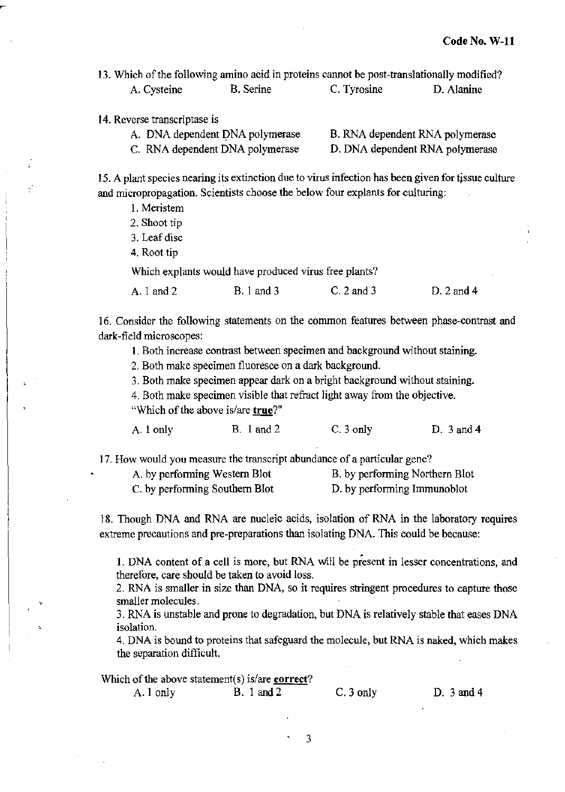13. Which of the following amino acid in proteins cannot he post-translationally modified? A. Cysteine B. Serine C. Tyrosine D. Alanine

14. Reverse transcriptase is

| A. DNA dependent DNA polymerase | B. RNA dependent RNA polymerase |
|---------------------------------|---------------------------------|
| C. RNA dependent DNA polymerase | D. DNA dependent RNA polymerase |

15. A plant species nearing its extinction due to virus infection has been given for tissue culture and micropropagation. Scientists choose the below four explants for culturing:

1. Meristem

2. Shoot tip

3. Leaf disc

4. Root tip

Which expiants would have produced virus free plants?

A. 1 and 2 B. 1 and 3 C. 2 and 3 D. 2 and 4

16. Consider the following statements on the common features between phase-contrast and dark-field microscopes:

1. Both increase contrast between specimen and background without staining.

2. Both make specimen fluoresce on a dark background.

3. Both make specimen appear dark on a bright background without staining.

4. Both make specimen visible that refract light away from the objective.

"Which of the above is/are true?"

A. 1 only B. 1 and 2 C. 3 only D. 3 and 4

17. How would you measure the transcript abundance of a particular gene?

A. by performing Western Blot B. by performing Northern Blot

C. by performing Southern Blot D. by performing Immunoblot

18. Though DNA and RNA are nucleic acids, isolation of RNA in the laboratory requires extreme precautions and pre-preparations than isolating DNA. This could be because:

1. DNA content of a cell is more, but RNA wlll be present in lesser concentrations, and therefore, care should be taken to avoid loss.

2. RNA is smaller in size than DNA, so it requires stringent procedures to capture those smaller molecules.

3. RNA is unstable and prone to degradation. but DNA is relatively stable that eases DNA isolation.

4. DNA is bound to proteins that safeguard the molecule, but RNA is naked, which makes the separation difficult.

Which of the above statement(s) is/are correct? A. 1 only B. 1 and 2 C. 3 only D. 3 and 4

3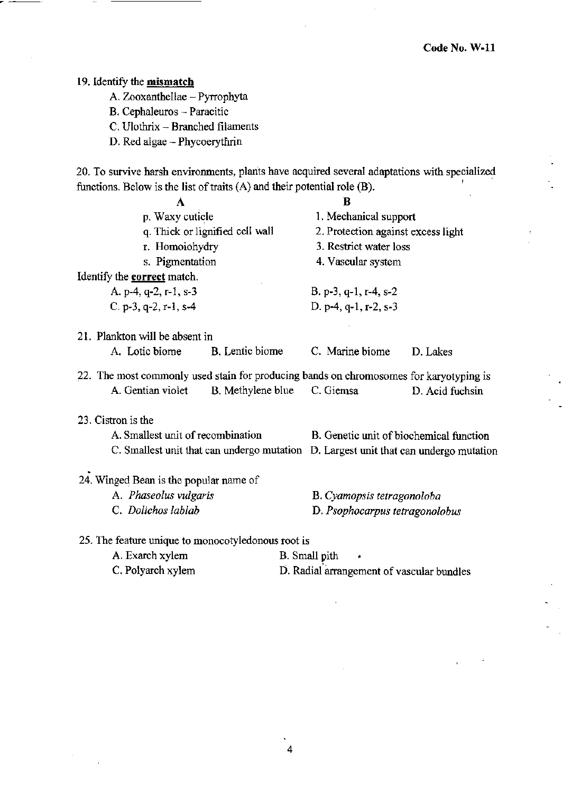#### 19. Identify the **mismatch**

A. Zooxanthellae - Pyrrophyta

B. Cephaleuros ~ Paracitic

C. Ulothrix - Branched filaments

D. Red algae - Phycoerythrin

20. To survive harsh environments, plants have acquired several adaptations with specialized functions. Below is the list of traits (A) and their potential role (B). '

| A                                                                                      | B                                                                                    |
|----------------------------------------------------------------------------------------|--------------------------------------------------------------------------------------|
| p. Waxy cuticle                                                                        | 1. Mechanical support                                                                |
| q. Thick or lignified cell wall                                                        | 2. Protection against excess light                                                   |
| r. Homoiohydry                                                                         | 3. Restrict water loss                                                               |
| s. Pigmentation                                                                        | 4. Vascular system                                                                   |
| Identify the <b>correct</b> match.                                                     |                                                                                      |
| A. p-4, q-2, r-1, s-3                                                                  | B. p-3, q-1, r-4, s-2                                                                |
| C. p-3, q-2, r-1, s-4                                                                  | D. p-4, q-1, r-2, s-3                                                                |
| 21. Plankton will be absent in                                                         |                                                                                      |
| A. Lotic biome<br>B. Lentic biome                                                      | C. Marine biome<br>D. Lakes                                                          |
| 22. The most commonly used stain for producing bands on chromosomes for karyotyping is |                                                                                      |
| A. Gentian violet<br>B. Methylene blue C. Giemsa                                       | D. Acid fuchsin                                                                      |
| 23. Cistron is the                                                                     |                                                                                      |
| A. Smallest unit of recombination                                                      | B. Genetic unit of biochemical function                                              |
|                                                                                        | C. Smallest unit that can undergo mutation D. Largest unit that can undergo mutation |
| 24. Winged Bean is the popular name of                                                 |                                                                                      |
| A. Phaseolus vulgaris                                                                  | B. Cyamopsis tetragonoloba                                                           |
| C. Dolichos lablab                                                                     | D. Psophocarpus tetragonolobus                                                       |
| 25. The feature unique to monocotyledonous root is                                     |                                                                                      |
| A. Exarch xylem                                                                        | <b>B.</b> Small pith                                                                 |

C. Polyarch xylem D. Radial arrangement of vascular bundles

4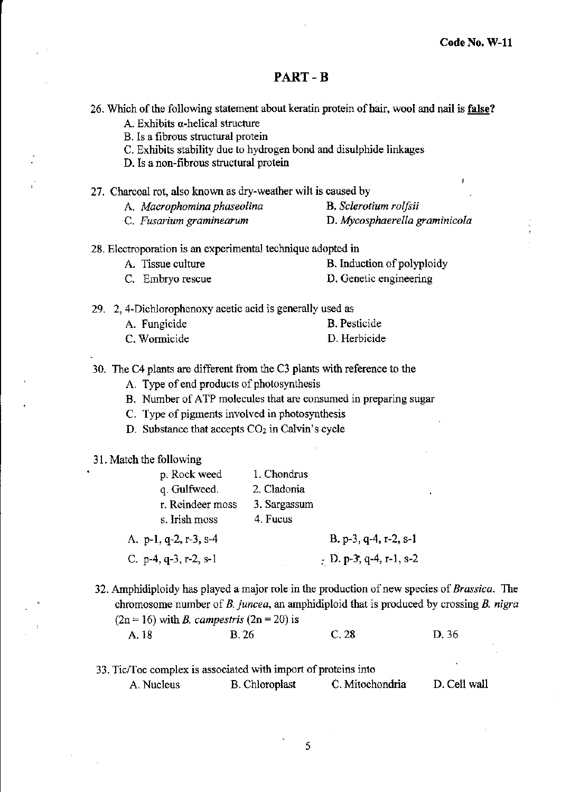#### **PART-B**

|  |  |  |  |  | 26. Which of the following statement about keratin protein of hair, wool and nail is false? |
|--|--|--|--|--|---------------------------------------------------------------------------------------------|
|--|--|--|--|--|---------------------------------------------------------------------------------------------|

**A. Exhibits a-helical structure** 

**B. Is a fibrous structural protein** 

C. Exhibits stability due to hydrogen bond and disulphide linkages

**D. Is anon-fibrous structural protein** 

- 27. Charcoal rot, also known as dry-weather wilt is caused by
	- **A.** *Macrophomma phaseolina* **B.** *Sclerotium rolfsii*
	- **C.** *Fusarium graminearum* **D.** *Mycosphaerella graminico/a*
- **28. Electroporation is an experimental technique adopted in** 
	- A. Tissue culture B. Induction of polyploidy
	- **C. Embryo rescue D. Genetic engineering**

29. 2, 4-Dichlorophenoxy acetic acid is generally used as

| A. Fungicide | B. Pesticide |
|--------------|--------------|
| C. Wormicide | D. Herbicide |

30. The C4 plants are different from the C3 plants with reference to the

- **A. Type of end products of photosynthesis**
- **B. Number of ATP molecules that are consumed in preparing sugar**

**C. Type of pigments involved in photosynthesis** 

**D. Substance that accepts C02 in Calvin's cycle** 

#### 31. Match the following

| p. Rock weed                     | 1. Chondrus  |                                     |
|----------------------------------|--------------|-------------------------------------|
| q. Gulfweed.                     | 2. Cladonia  |                                     |
| r. Reindeer moss                 | 3. Sargassum |                                     |
| s. Irish moss                    | 4. Fucus     |                                     |
| A. $p-1$ , $q-2$ , $r-3$ , $s-4$ |              | B. p-3, q-4, r-2, s-1               |
| C. $p-4$ , $q-3$ , $r-2$ , $s-1$ |              | $\frac{1}{5}$ D. p-3, q-4, r-1, s-2 |

**32. Amphidiploidy has played a major role in the production of new species of** *Brassica.* **The chromosome number of B.** *juncea,* **an amphidiploid that is produced by crossing** *B. nigra*   $(2n = 16)$  with *B. campestris*  $(2n = 20)$  is A. 18 B. 26 C. 28 D. 36

| 33. Tic/Toc complex is associated with import of proteins into |                |                 |              |
|----------------------------------------------------------------|----------------|-----------------|--------------|
| A. Nucleus                                                     | B. Chloroplast | C. Mitochondria | D. Cell wall |

5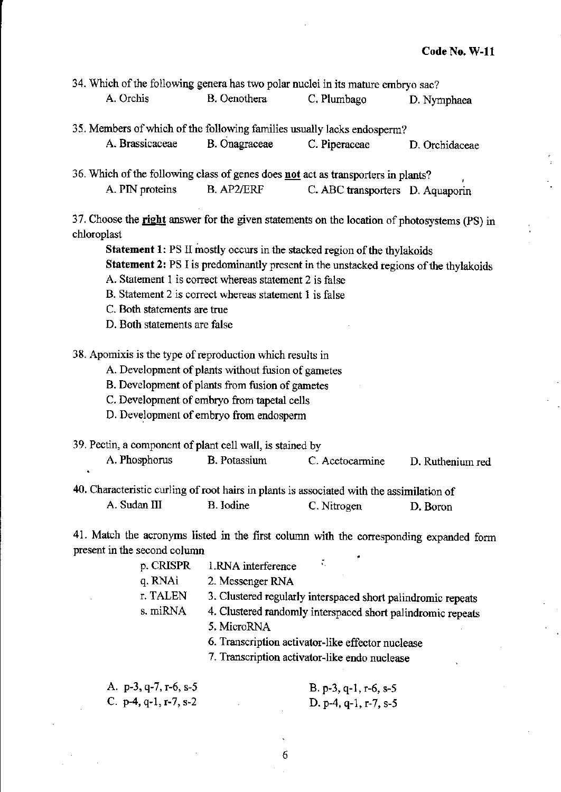|           | 34. Which of the following genera has two polar nuclei in its mature embryo sac? |             |             |
|-----------|----------------------------------------------------------------------------------|-------------|-------------|
| A. Orchis | B. Oenothera                                                                     | C. Plumbago | D. Nymphaea |

- 35. Members of which of the following families usually lacks endosperm? A. Brassicaceae B. Onagraceae C. Piperaceae D. Orchidaceae
- 36. Which of the following class of genes does not act as transporters in plants? A. PIN proteins B. AP2/ERF C. ABC transporters D. Aquaporin

37. Choose the right answer for the given statements on the location of photosystems (PS) in chloroplast

Statement 1: PS II mostly occurs in the stacked region of the thylakoids

Statement 2: PS I is predominantly present in the unstacked regions of the thylakoids

- A. Statement 1 is correct whereas statement 2 is false
- B. Statement 2 is correct whereas statement 1 is false
- C. Both statements are true
- D. Both statements are false

38. Apomixis is the type of reproduction which results in

A. Development of plants without fusion of gametes

B. Development of plants from fusion of gametes

C. Development of embryo from tapetal cells

- D. Development of embryo from endosperm
- 39. Pectin, a component of plant cell wall, is stained by

A. Phosphorus B. Potassium C. Acetocarmine D. Ruthenium red

40. Characteristic curling of root hairs in plants is associated with the assimilation of A. Sudan III B. Iodine C. Nitrogen D. Boron

41. Match the acronyms listed in the first column with the corresponding expanded fonn present in the second column

| p. CRISPR | 1.RNA interference                                           |
|-----------|--------------------------------------------------------------|
| q. RNAi   | 2. Messenger RNA                                             |
| r. TALEN  | 3. Clustered regularly interspaced short palindromic repeats |
| s. miRNA  | 4. Clustered randomly interspaced short palindromic repeats  |
|           | 5. MicroRNA                                                  |
|           | 6. Transcription activator-like effector nuclease            |
|           | 7. Transcription activator-like endo nuclease                |

| A. p-3, q-7, r-6, s-5            |  | B. p-3, q-1, r-6, s-5 |
|----------------------------------|--|-----------------------|
| C. $p-4$ , $q-1$ , $r-7$ , $s-2$ |  | D. p-4, q-1, r-7, s-5 |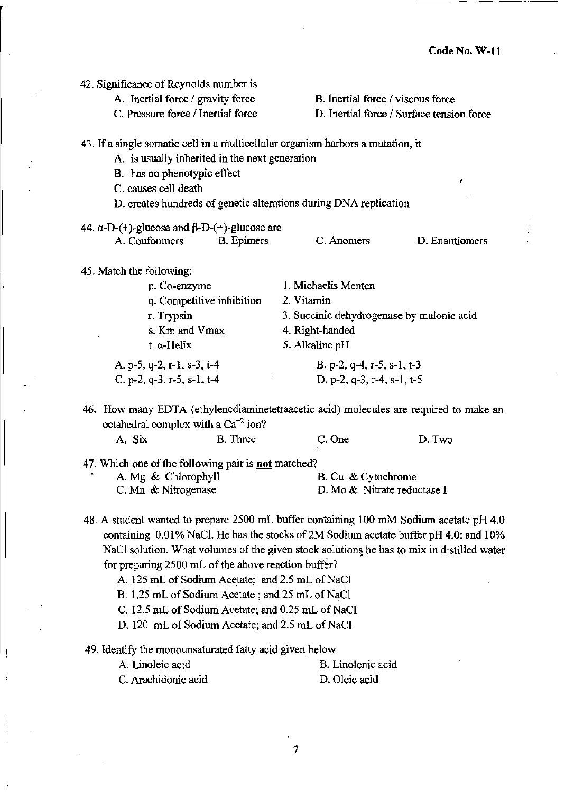| 42. Significance of Reynolds number is                     |                                                                                       |
|------------------------------------------------------------|---------------------------------------------------------------------------------------|
| A. Inertial force / gravity force                          | B. Inertial force / viscous force                                                     |
| C. Pressure force / Inertial force                         | D. Inertial force / Surface tension force                                             |
|                                                            | 43. If a single somatic cell in a multicellular organism harbors a mutation, it       |
| A. is usually inherited in the next generation             |                                                                                       |
| B. has no phenotypic effect                                |                                                                                       |
| C. causes cell death                                       | t.                                                                                    |
|                                                            | D. creates hundreds of genetic alterations during DNA replication                     |
|                                                            |                                                                                       |
| 44. $\alpha$ -D-(+)-glucose and $\beta$ -D-(+)-glucose are |                                                                                       |
| A. Confonmers<br>B. Epimers                                | C. Anomers<br>D. Enantiomers                                                          |
| 45. Match the following:                                   |                                                                                       |
| p. Co-enzyme                                               | 1. Michaelis Menten                                                                   |
| q. Competitive inhibition                                  | 2. Vitamin                                                                            |
| r. Trypsin                                                 | 3. Succinic dehydrogenase by malonic acid                                             |
| s. Km and Vmax                                             | 4. Right-handed                                                                       |
| t. a-Helix                                                 | 5. Alkaline pH                                                                        |
| A. p-5, q-2, r-1, s-3, t-4                                 | B. p-2, q-4, r-5, s-1, t-3                                                            |
| C. p-2, q-3, r-5, s-1, t-4                                 | D. p-2, q-3, r-4, s-1, t-5                                                            |
| octahedral complex with a $Ca^{+2}$ ion?                   | 46. How many EDTA (ethylenediaminetetraacetic acid) molecules are required to make an |
| A. Six<br><b>B.</b> Three                                  | D. Two<br>C. One                                                                      |
| 47. Which one of the following pair is not matched?        |                                                                                       |
| A. Mg & Chlorophyll                                        | B. Cu & Cytochrome                                                                    |
| C. Mn & Nitrogenase                                        | D. Mo & Nitrate reductase I                                                           |
|                                                            |                                                                                       |

- 48. A student wanted to prepare 2500 mL buffer containing 100 mM Sodium acetate pH 4.0 containing 0.01% NaCI. He has the stocks of 2M Sodium acetate buffer pH 4.0; and 10% NaCl solution. What volumes of the given stock solutions he has to mix in distilled water for preparing 2500 mL of the above reaction buffer?
	- A. 125 mL of Sodium Acetate; and 2.5 mL of NaCl
	- B. 1.25 mL of Sodium Acetate; and 25 mL of NaCl
	- C. 12.5 mL of Sodium Acetate; and 0.25 mL of NaCl
	- D. 120 mL of Sodium Acetate; and 2.5 mL of NaCl

#### 49. Identify the monounsaturated fatty acid given below

**A. Linoleic acid C. Arachidonic acid B. Linolenic acid D. Oleic acid**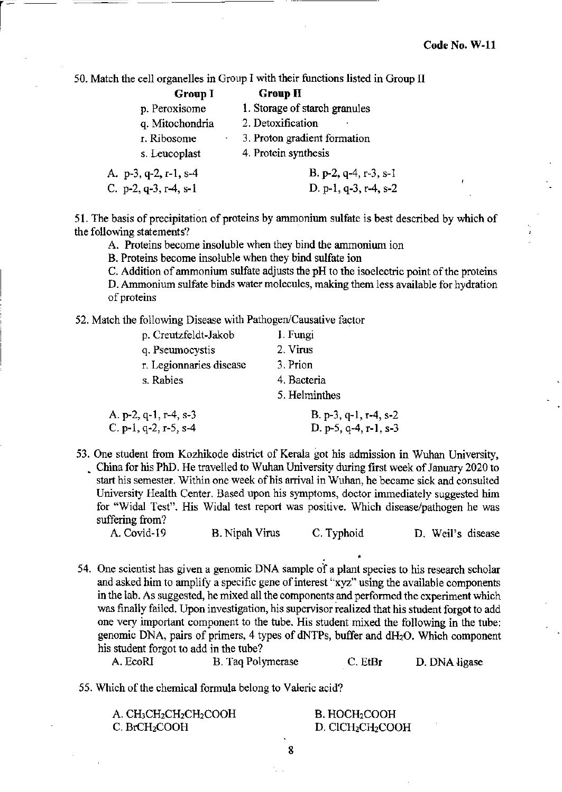50. Match the cell organelles in Group I with their functions listed in Group II

| <b>Group I</b>                   | <b>Group II</b>               |
|----------------------------------|-------------------------------|
| p. Peroxisome                    | 1. Storage of starch granules |
| q. Mitochondria                  | 2. Detoxification             |
| r. Ribosome                      | 3. Proton gradient formation  |
| s. Leucoplast                    | 4. Protein synthesis          |
| A. $p-3$ , q-2, r-1, s-4         | B. p-2, q-4, r-3, s-1         |
| C. $p-2$ , $q-3$ , $r-4$ , $s-1$ | D. p-1, q-3, r-4, s-2         |

51. The basis of precipitation of proteins by annnonium sulfate is best described by which of the following statements?

A. Proteins become insoluble when they bind the ammonium ion

B. Proteins become insoluble when they bind sulfate ion

C. Addition of ammonium sulfate adjusts the pH to the isoelectric point of the proteins D. Ammonium sulfate binds water molecules, making them less available for hydration of proteins

52. Match the following Disease with Pathogen/Causative factor

| p. Creutzfeldt-Jakob    | 1. Fungi              |
|-------------------------|-----------------------|
| q. Pseumocystis         | 2. Virus              |
| r. Legionnaries disease | 3. Prion              |
| s. Rabies               | 4. Bacteria           |
|                         | 5. Helminthes         |
| A. p-2, q-1, r-4, s-3   | B. p-3, q-1, r-4, s-2 |
| C. p-1, q-2, r-5, s-4   | D. p-5, q-4, r-1, s-3 |

53. One student from Kozhikode district of Kerala got his admission in Wuhan University, • China for his PhD. He travelled to Wuhan University during first week of January 2020 to start his semester. Within one week of his arrival in Wuhan, he became sick and consulted University Health Center. Based upon his symptoms, doctor immediately suggested him for "Widal Test". His Widal test report was positive. Which disease/pathogen he was suffering from?

A. Covid-19 B. Nipah Virus C. Typhoid D. Weil's disease

. •

54. One scientist has given a genomic DNA sample of a plant species to his research scholar and asked him to amplify a specific gene of interest "xyz" using the available components in the lab. As suggested, he mixed all the components and performed the experiment which was finally failed. Upon investigation, his supervisor realized that his student forgot to add one very important component to the tube. His student mixed the following in the tube: genomic DNA, pairs of primers, 4 types of dNTPs, buffer and dH20. Which component his student forgot to add in the tube?

A. EcoRI B. Taq Polymerase C. EtBr D. DNA ligase

55. Which of the chemical formula belong to Valeric acid?

A. CH<sub>3</sub>CH<sub>2</sub>CH<sub>2</sub>CH<sub>2</sub>COOH C. BrCH<sub>2</sub>COOH

B. HOCH<sub>2</sub>COOH D. CICH<sub>2</sub>CH<sub>2</sub>COOH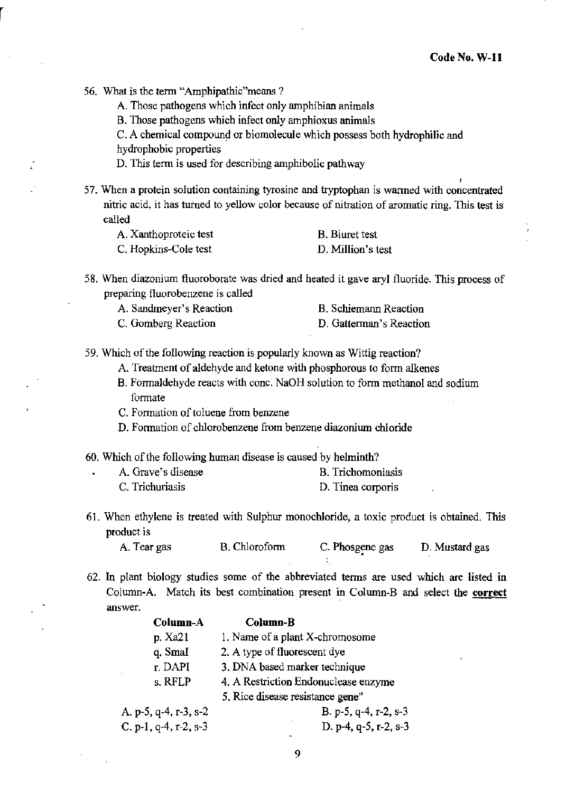,

56. What is the term "Amphipathic" means ?

A. Those pathogens which infect only amphibian animals

B. Those pathogens which infect only amphioxus animals

C. A chemical compound or biomolecule which possess both hydrophilic and

hydrophobic properties

D. This term is used for describing amphibolic pathway

57. When a protein solution containing tyrosine and tryptophan is warmed with concentrated nitric acid, it has turned to yellow color because of nitration of aromatic ring. This test is called

| A. Xanthoproteic test | <b>B.</b> Biuret test |
|-----------------------|-----------------------|
| C. Hopkins-Cole test  | D. Million's test     |

- 58. When diazonium fluoroborate was dried and heated it gave aryl fluoride. This process of preparing fluorobenzene is called
	- A. Sandmeyer's Reaction B. Schiemann Reaction
	- C. Gomberg Reaction D. Gattennan's Reaction

59. Which of the following reaction is popularly known as Wittig reaction?

- A. Treatment of aldehyde and ketone with phosphorous to form alkenes
- B. Formaldehyde reacts with cone. 'NaOH solution to fonn methanol and sodium formate
- C. Formation of toluene from benzene
- D. Fonnation of chlorobenzene from benzene diazoniwn chloride
- 60. Which of the following human disease is caused by helminth?

| A. Grave's disease | B. Trichomoniasis |
|--------------------|-------------------|
| C. Trichuriasis    | D. Tinea corporis |

61. When ethylene is treated with Sulphur monochloride, a toxic product is obtained. This product is

| A. Tear gas | B. Chloroform | C. Phosgene gas | D. Mustard gas |
|-------------|---------------|-----------------|----------------|
|             |               |                 |                |

62. In plant biology studies some of the abbreviated tenns are used which are listed in Column-A Match its best combination present in Column-B and select the correct answer.

|                       | Column-A | Column-B                             |
|-----------------------|----------|--------------------------------------|
| p. Xa21               |          | 1. Name of a plant X-chromosome      |
| q. SmaI               |          | 2. A type of fluorescent dye         |
| r. DAPI               |          | 3. DNA based marker technique        |
| s. RFLP               |          | 4. A Restriction Endonuclease enzyme |
|                       |          | 5. Rice disease resistance gene"     |
| A. p-5, q-4, r-3, s-2 |          | B. p-5, $q-4$ , r-2, s-3             |
| C. p-1, q-4, r-2, s-3 |          | D. p-4, q-5, r-2, s-3                |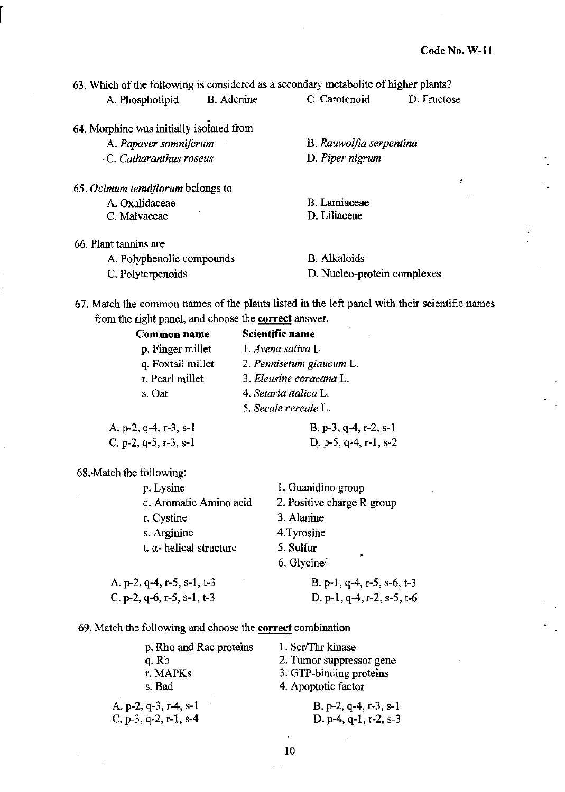|                                          |            | 63. Which of the following is considered as a secondary metabolite of higher plants? |             |
|------------------------------------------|------------|--------------------------------------------------------------------------------------|-------------|
| A. Phospholipid                          | B. Adenine | C. Carotenoid                                                                        | D. Fructose |
| 64. Morphine was initially isolated from |            |                                                                                      |             |
| A. Papaver somniferum                    |            | B. Rauwolfia serpentina                                                              |             |
| C. Catharanthus roseus                   |            | D. Piper nigrum                                                                      |             |
| 65. Ocimum tenuiflorum belongs to        |            |                                                                                      |             |
| A. Oxalidaceae                           |            | <b>B.</b> Lamiaceae                                                                  |             |
| C. Malvaceae                             |            | D. Liliaceae                                                                         |             |
| 66. Plant tannins are                    |            |                                                                                      |             |

| A. Polyphenolic compounds | <b>B.</b> Alkaloids         |
|---------------------------|-----------------------------|
| C. Polyterpenoids         | D. Nucleo-protein complexes |

67. Match the common names of the plants listed in the left panel with their scientific names from the right panel, and choose the **correct** answer.

|                          | Common name                     | Scientific name            |
|--------------------------|---------------------------------|----------------------------|
|                          | p. Finger millet                | 1. Avena sativa L          |
|                          | q. Foxtail millet               | 2. Pennisetum glaucum L.   |
|                          | r. Pearl millet                 | 3. Eleusine coracana L.    |
|                          | s. Oat                          | 4. Setaria italica L.      |
|                          |                                 | 5. Secale cereale L.       |
|                          | A. p-2, q-4, r-3, s-1           | $B. p-3, q-4, r-2, s-1$    |
|                          | C. p-2, q-5, r-3, s-1           | D. p-5, $q-4$ , r-1, s-2   |
| 68. Match the following: |                                 |                            |
|                          | p. Lysine                       | 1. Guanidino group         |
|                          | q. Aromatic Amino acid          | 2. Positive charge R group |
|                          | r. Cystine                      | 3. Alanine                 |
|                          | s. Arginine                     | 4. Tyrosine                |
|                          | t. $\alpha$ - helical structure | 5. Sulfur                  |
|                          |                                 | 6. Glycine $\cdot$         |
|                          | A. p-2, q-4, r-5, s-1, t-3      | B. p-1, q-4, r-5, s-6, t-3 |
|                          | C, p-2, q-6, r-5, s-1, t-3      | D. p-1, q-4, r-2, s-5, t-6 |

69. Match the following and choose the **correct** combination

| p. Rho and Rac proteins | 1. Ser/Thr kinase        |
|-------------------------|--------------------------|
| q. Rb                   | 2. Tumor suppressor gene |
| r. MAPKs                | 3. GTP-binding proteins  |
| s. Bad                  | 4. Apoptotic factor      |
| A. p-2, q-3, r-4, s-1   | B. p-2, q-4, r-3, s-1    |
| C. p-3, q-2, r-1, s-4   | D. p-4, q-1, r-2, s-3    |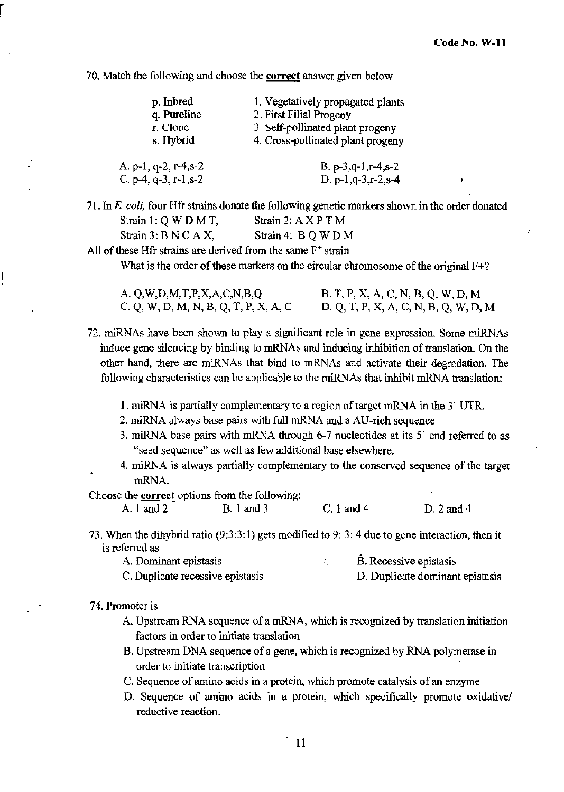70. Match the following and choose the correct answer given below

| p. Inbred            | 1. Vegetatively propagated plants |
|----------------------|-----------------------------------|
| q. Pureline          | 2. First Filial Progeny           |
| r. Clone             | 3. Self-pollinated plant progeny  |
| s. Hybrid            | 4. Cross-pollinated plant progeny |
| A. p-1, q-2, r-4,s-2 | B. p-3,q-1,r-4,s-2                |

71. InE. *coli,* four Hfr strains donate the following genetic markers shown in the order donated Strain 1:  $Q$  W D M T, Strain 2:  $A$  X P T M Strain 3: B N C A X, Strain 4: B Q W D M

D. p-l,q-3,r-2,s-4

All of these Hfr strains are derived from the same  $F^+$  strain

C. p-4, q-3, r-l,s-2

What is the order of these markers on the circular chromosome of the original F+?

| A. Q,W,D,M,T,P,X,A,C,N,B,Q            | B. T, P, X, A, C, N, B, Q, W, D, M    |
|---------------------------------------|---------------------------------------|
| C. Q, W, D, M, N, B, Q, T, P, X, A, C | D. Q, T, P, X, A, C, N, B, Q, W, D, M |

72. miRNAs have been shown to playa significant role in gene expression. Some miRNAs induce gene silencing by binding to mRNAs and inducing inhibition of translation. On the other hand, there are miRNAs that bind to mRNAs and activate their degradation. The following characteristics can be applicable to the miRNAs that inhibit mRNA translation:

- I. miRNA is partially complementary to a region of target mRNA in the 3' UTR.
- 2. miRNA always base pairs with full mRNA and a AU-rich sequence
- 3. miRNA base pairs with mRNA through 6-7 nucleotides at its 5' end referred to as "seed sequence" as well as few additional base elsewhere.
- 4. miRNA is always partially complementary to the conserved sequence of the target mRNA.

Choose the correct options from the following:

A.land2 B.land3 C.I and 4 D.2and4

73. When the dihybrid ratio (9:3:3:1) gets modified to 9: 3: 4 due to gene interaction, then it is referred as

| A. Dominant epistasis |  |  | B. Recessive epistasis |
|-----------------------|--|--|------------------------|
|                       |  |  |                        |

C. Duplicate recessive epistasis D. Duplicate dominant epistasis

74. Promoter is

r

- A. Upstream RNA sequence of a mRNA, which is recognized by translation initiation factors in order to initiate translation
- B. Upstream DNA sequence of a gene, which is recognized by RNA polymerase in order to initiate transcription
- C. Sequence of amino acids in a protein, which promote catalysis of an enzyme
- D. Sequence of amino acids in a protein, which specifically promote oxidative/ reductive reaction.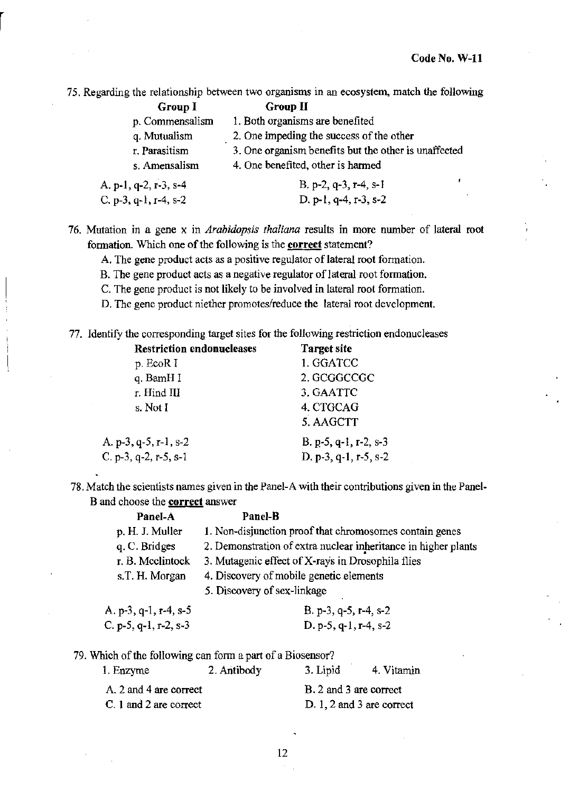75. Regarding the relationship between two organisms in an ecosystem, match the following

| Group I               | <b>Group II</b>                                      |
|-----------------------|------------------------------------------------------|
| p. Commensalism       | 1. Both organisms are benefited                      |
| q. Mutualism          | 2. One impeding the success of the other             |
| r. Parasitism         | 3. One organism benefits but the other is unaffected |
| s. Amensalism         | 4. One benefited, other is harmed                    |
| A, p-1, q-2, r-3, s-4 | B. p-2, q-3, r-4, s-1                                |

|                       | .                     |
|-----------------------|-----------------------|
| C. p-3, q-1, r-4, s-2 | D. p-1, q-4, r-3, s-2 |
|                       |                       |

76. Mutation in a gene x in *Arabidopsis thaliana* results in more number of lateral root formation. Which one of the following is the correct statement?

- A. The gene product acts as a positive regulator of lateral root formation.
- B. The gene product acts as a negative regulator of lateral root formation.
- C. The gene product is not likely to be involved in lateral root formation.
- D. The gene product niether promotes/reduce the lateral root development.

77. Identify the corresponding target sites for the following restriction endonucleases

| <b>Restriction endonucleases</b> | <b>Target site</b>    |
|----------------------------------|-----------------------|
| p. EcoR I                        | 1. GGATCC             |
| q. BamH I                        | 2. GCGGCCGC           |
| r. Hind III                      | 3. GAATTC             |
| s. Not I                         | 4. CTGCAG             |
|                                  | 5. AAGCTT             |
| A. p-3, q-5, r-1, s-2            | B. p-5, q-1, r-2, s-3 |
| C. p-3, q-2, r-5, s-1            | D. p-3, q-1, r-5, s-2 |

78, Match the scientists names given in the Panel-A with their contributions given in the Panel-B and choose the correct answer

| Panel-A               | Panel-B                                                        |  |
|-----------------------|----------------------------------------------------------------|--|
| p. H. J. Muller       | 1. Non-disjunction proof that chromosomes contain genes        |  |
| q. C. Bridges         | 2. Demonstration of extra nuclear inheritance in higher plants |  |
| r. B. Meelintock      | 3. Mutagenic effect of X-rays in Drosophila flies              |  |
| s.T. H. Morgan        | 4. Discovery of mobile genetic elements                        |  |
|                       | 5. Discovery of sex-linkage                                    |  |
| A. p-3, q-1, r-4, s-5 | $B. p-3, q-5, r-4, s-2$                                        |  |
| C. p-5, q-1, r-2, s-3 | $D. p-5, q-1, r-4, s-2$                                        |  |

79. Which of the following can fonn a part of a Biosensor?

| 1. Enzyme              | 2. Antibody | 3. Lipid                  | 4. Vitamin |
|------------------------|-------------|---------------------------|------------|
| A. 2 and 4 are correct |             | B. 2 and 3 are correct    |            |
| C. 1 and 2 are correct |             | D. 1, 2 and 3 are correct |            |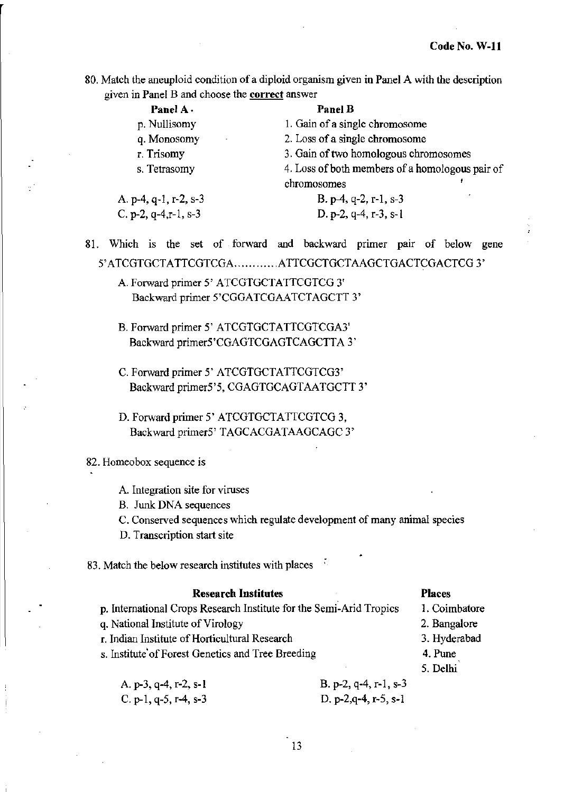**80. Match the aneuploid condition of a diploid organism given in Panel A with the description given in Panel B and choose the corred answer** 

| Panel A.                | <b>Panel B</b>                                  |  |
|-------------------------|-------------------------------------------------|--|
| p. Nullisomy            | 1. Gain of a single chromosome                  |  |
| q. Monosomy             | 2. Loss of a single chromosome                  |  |
| r. Trisomy              | 3. Gain of two homologous chromosomes           |  |
| s. Tetrasomy            | 4. Loss of both members of a homologous pair of |  |
|                         | chromosomes                                     |  |
| A. p-4, q-1, r-2, s-3   | B. $p-4$ , q-2, r-1, s-3                        |  |
| C. p-2, $q-4,r-1$ , s-3 | D. p-2, $q-4$ , r-3, s-1                        |  |

**81. Which is the set of forward and backward primer pair of below gene** 

5' ATCGTGCTA TTCGTCGA. ........... ATTCGCTGCTAAGCTGACTCGACTCG 3'

- A. Forward primer 5' ATCGTGCTATTCGTCG 3' Backward primer 5'CGGATCGAA TCTAGCTT 3'
- B. Forward primer 5' ATCGTGCTATTCGTCGA3' Backward primer5'CGAGTCGAGTCAGCTTA 3'
- C. Forward primer 5' ATCGTGCTATTCGTCG3' Backward primer5'5, CGAGTGCAGTAATGCTT 3'
- D. Forward primer 5' ATCGTGCTATTCGTCG 3, Backward primer5' TAGCACGATAAGCAGC 3'

#### **82. Homeobox sequence is**

- A. **Integration site for viruses**
- B. Junk DNA sequences
- **C. Conserved sequences which regulate development of many animal species**

•

**D. Transcription start site** 

**83. Match the below research institutes with places** 

#### **Research Institutes**

**p. International Crops Research Institute for the Semi-Arid Tropics** 

**q. National Institute** of Virology

- **r. Indian Institute** of Horticultural **Research**
- **s. Institute'ofForest Genetics and Tree Breeding**
- Places
- **1. Coimbatore**
- Z. Bangaiore
- 3. Hyderabad
- 4.Pune
- 5. Delhi

| A. $p-3$ , $q-4$ , $r-2$ , $s-1$ | B. p-2, q-4, r-1, $s-3$  |
|----------------------------------|--------------------------|
| C. p-1, q-5, r-4, s-3            | D. p-2, $q-4$ , r-5, s-1 |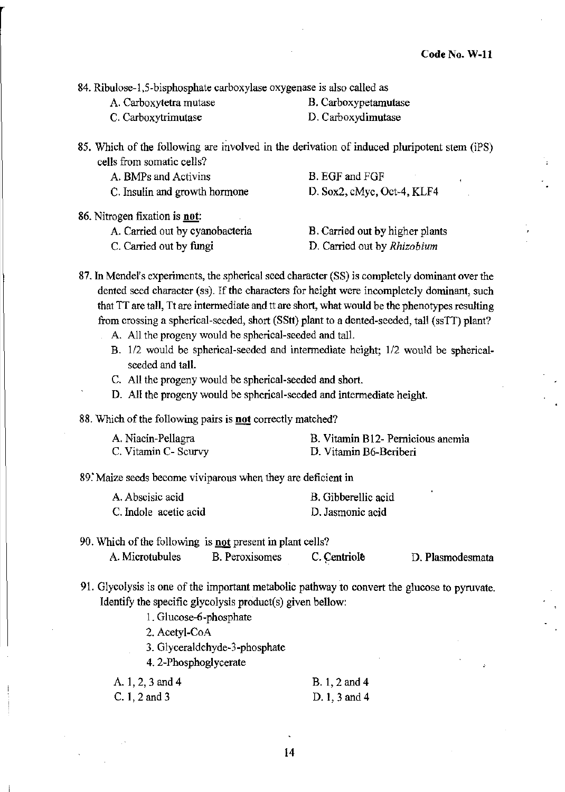**84. Ribulose-l,5-bisphosphate carboxylase oxygenase is also called as** 

- **A. Carboxytetra mutase B. Carboxypetamutase**
- 

**C. Carboxytrimutase D. Carboxydimutase** 

**85. Which of the following are involved in the derivation of induced pluripotent stem (iPS) cells from somatic cells?** 

| A. BMPs and Activins          | B. EGF and FGF             |
|-------------------------------|----------------------------|
| C. Insulin and growth hormone | D. Sox2, cMyc, Oct-4, KLF4 |

**86. Nitrogen fixation is not:** 

| A. Carried out by cyanobacteria | B. Carried out by higher plants    |
|---------------------------------|------------------------------------|
| C. Carried out by fungi         | D. Carried out by <i>Rhizobium</i> |

87. In Mendel's experiments, the spherical seed character (SS) is completely dominant over the **dented seed character (ss).** If the **characters for height were incompletely dominant, such that IT are tall, Tt are intermediate and tt are short, what would be the phenotypes resulting**  from crossing a spherical-seeded, short (SStt) plant to a dented-seeded, tall (ssTT) plant?

- A. All the progeny would be spherical-seeded and tall.
	- B. 112 would be spherical-seeded and intermediate height; 1/2 would be sphericalseeded and tall.
	- C. All the progeny would be spherical-seeded and short.
	- D. All the progeny would be spherical-seeded and intermediate height.

**88.** Which of the following pairs is **not** correctly matched?

| A. Niacin-Pellagra   | B. Vitamin B12- Pernicious anemia |
|----------------------|-----------------------------------|
| C. Vitamin C- Scurvy | D. Vitamin B6-Beriberi            |

89: Maize **seeds become viviparous when they are deficient in** 

| A. Abscisic acid      | B. Gibberellic acid |
|-----------------------|---------------------|
| C. Indole acetic acid | D. Jasmonic acid    |

#### **90. Which** of the **following is not present in plant cells? A. Microtubules B. Peroxisomes C. Centriole**

. **D. Plasmodesmata** 

**91. Glycolysis is one** of the **important metabolic pathway to convert the glucose to pyruvate.**  Identify the specific glycolysis product(s) given bellow:

1. Glucose-6-phosphate

2. Acetyl-CoA

3. Glyceraldehyde-3-phosphate

4. 2-Phosphoglycerate

| A. $1, 2, 3$ and $4$ | B. 1, 2 and 4 |
|----------------------|---------------|
| C. 1, 2 and 3        | D. 1, 3 and 4 |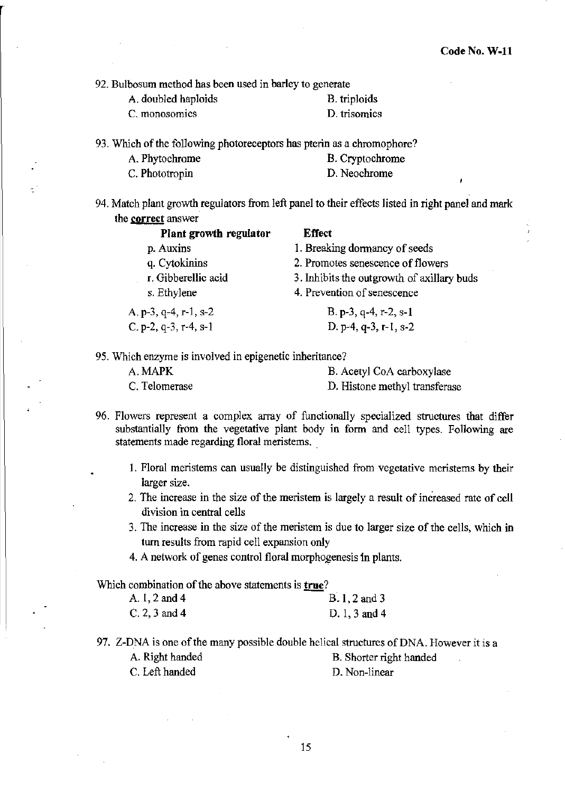92. Bulbosum method has been used in barley to generate

| A. doubled haploids | <b>B.</b> triploids |
|---------------------|---------------------|
| C. monosomics       | D. trisomics        |

93. Which of the following photoreceptors has pterin as a chromophore?

| A. Phytochrome | B. Cryptochrome |
|----------------|-----------------|
| C. Phototropin | D. Neochrome    |

94. Match plant growth regulators from left panel to their effects listed in right panel and mark the **correct** answer

| Plant growth regulator | <b>Effect</b>                              |
|------------------------|--------------------------------------------|
| p. Auxins              | 1. Breaking dormancy of seeds              |
| q. Cytokinins          | 2. Promotes senescence of flowers          |
| r. Gibberellic acid    | 3. Inhibits the outgrowth of axillary buds |
| s. Ethylene            | 4. Prevention of senescence                |
| A. p-3, q-4, r-1, s-2  | B. p-3, q-4, r-2, s-1                      |
| C. p-2, q-3, r-4, s-1  | D. p-4, $q-3$ , r-1, s-2                   |
|                        |                                            |

95. Which enzyme is involved in epigenetic inheritance?

| A. MAPK       | B. Acetyl CoA carboxylase     |
|---------------|-------------------------------|
| C. Telomerase | D. Histone methyl transferase |

- 96. Flowers represent a complex array of functionally specialized structures that differ substantially from the vegetative plant body in form and cell types. Following are statements made regarding floral meristems.
	- 1. Floral meristems can usually be distinguished from vegetative meristems by their larger size.
	- 2. The increase in the size of the meristem is largely a result of increased rate of cell division in central cells
	- 3. The increase in the size of the meristem is due to larger size of the cells, which in turn results from rapid cell expansion only
	- 4. A network of genes control floral morphogenesis in plants.

Which combination of the above statements is true?

| A. 1, 2 and 4   | $B.1, 2$ and 3 |
|-----------------|----------------|
| $C. 2, 3$ and 4 | D. 1, 3 and 4  |

97. Z-DNA is one of the many possible double helical structures of DNA. However it is a A. Right handed B. Shorter right handed C. Left handed D. Non-linear